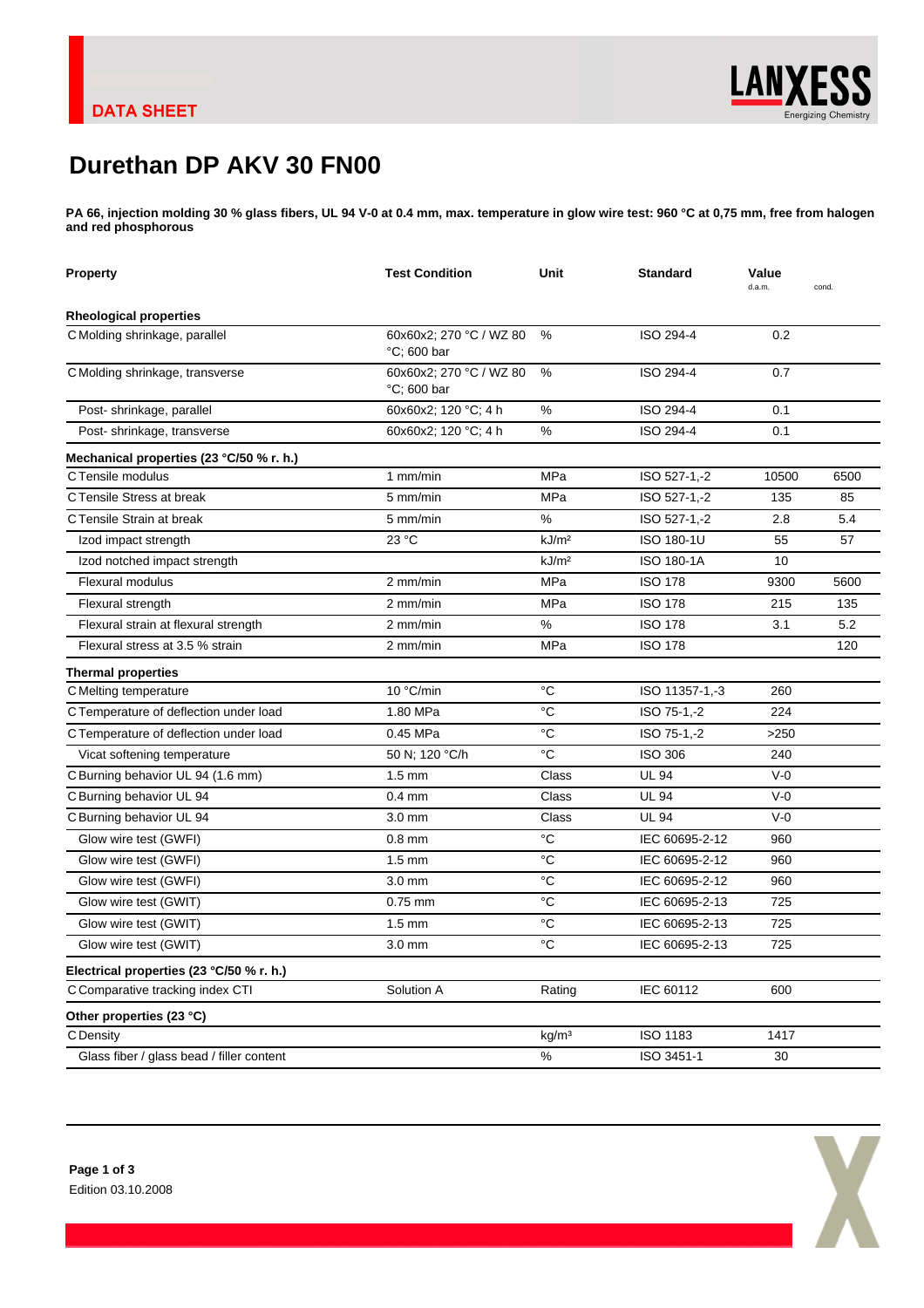X

## **Durethan DP AKV 30 FN00**

**PA 66, injection molding 30 % glass fibers, UL 94 V-0 at 0.4 mm, max. temperature in glow wire test: 960 °C at 0,75 mm, free from halogen and red phosphorous**

| <b>Property</b>                           | <b>Test Condition</b>                     | Unit              | <b>Standard</b> | Value<br>d.a.m. | cond. |
|-------------------------------------------|-------------------------------------------|-------------------|-----------------|-----------------|-------|
| <b>Rheological properties</b>             |                                           |                   |                 |                 |       |
| C Molding shrinkage, parallel             | 60x60x2; 270 °C / WZ 80<br>°C; 600 bar    | %                 | ISO 294-4       | 0.2             |       |
| C Molding shrinkage, transverse           | 60x60x2; 270 °C / WZ 80<br>$°C$ ; 600 bar | %                 | ISO 294-4       | 0.7             |       |
| Post-shrinkage, parallel                  | 60x60x2; 120 °C; 4 h                      | %                 | ISO 294-4       | 0.1             |       |
| Post-shrinkage, transverse                | 60x60x2; 120 °C; 4 h                      | %                 | ISO 294-4       | 0.1             |       |
| Mechanical properties (23 °C/50 % r. h.)  |                                           |                   |                 |                 |       |
| C Tensile modulus                         | $1$ mm/min                                | <b>MPa</b>        | ISO 527-1,-2    | 10500           | 6500  |
| C Tensile Stress at break                 | 5 mm/min                                  | <b>MPa</b>        | ISO 527-1,-2    | 135             | 85    |
| C Tensile Strain at break                 | 5 mm/min                                  | %                 | ISO 527-1,-2    | 2.8             | 5.4   |
| Izod impact strength                      | 23 °C                                     | kJ/m <sup>2</sup> | ISO 180-1U      | 55              | 57    |
| Izod notched impact strength              |                                           | kJ/m <sup>2</sup> | ISO 180-1A      | 10              |       |
| Flexural modulus                          | 2 mm/min                                  | MPa               | <b>ISO 178</b>  | 9300            | 5600  |
| Flexural strength                         | 2 mm/min                                  | MPa               | <b>ISO 178</b>  | 215             | 135   |
| Flexural strain at flexural strength      | $2$ mm/min                                | %                 | <b>ISO 178</b>  | 3.1             | 5.2   |
| Flexural stress at 3.5 % strain           | 2 mm/min                                  | MPa               | <b>ISO 178</b>  |                 | 120   |
| <b>Thermal properties</b>                 |                                           |                   |                 |                 |       |
| C Melting temperature                     | 10 °C/min                                 | °C                | ISO 11357-1,-3  | 260             |       |
| C Temperature of deflection under load    | 1.80 MPa                                  | °C                | ISO 75-1,-2     | 224             |       |
| C Temperature of deflection under load    | 0.45 MPa                                  | $^{\circ}C$       | ISO 75-1,-2     | >250            |       |
| Vicat softening temperature               | 50 N; 120 °C/h                            | $^{\circ}C$       | <b>ISO 306</b>  | 240             |       |
| C Burning behavior UL 94 (1.6 mm)         | $1.5 \text{ mm}$                          | Class             | <b>UL 94</b>    | $V-0$           |       |
| C Burning behavior UL 94                  | $0.4$ mm                                  | Class             | <b>UL 94</b>    | $V-0$           |       |
| C Burning behavior UL 94                  | 3.0 mm                                    | Class             | <b>UL 94</b>    | $V-0$           |       |
| Glow wire test (GWFI)                     | $0.8$ mm                                  | °C                | IEC 60695-2-12  | 960             |       |
| Glow wire test (GWFI)                     | $1.5 \text{ mm}$                          | $^{\circ}C$       | IEC 60695-2-12  | 960             |       |
| Glow wire test (GWFI)                     | 3.0 mm                                    | $^{\circ}C$       | IEC 60695-2-12  | 960             |       |
| Glow wire test (GWIT)                     | $0.75$ mm                                 | °C                | IEC 60695-2-13  | 725             |       |
| Glow wire test (GWIT)                     | $1.5 \text{ mm}$                          | $^{\circ}C$       | IEC 60695-2-13  | 725             |       |
| Glow wire test (GWIT)                     | $3.0 \text{ mm}$                          | °C                | IEC 60695-2-13  | 725             |       |
| Electrical properties (23 °C/50 % r. h.)  |                                           |                   |                 |                 |       |
| C Comparative tracking index CTI          | Solution A                                | Rating            | IEC 60112       | 600             |       |
| Other properties (23 °C)                  |                                           |                   |                 |                 |       |
| C Density                                 |                                           | kg/m <sup>3</sup> | ISO 1183        | 1417            |       |
| Glass fiber / glass bead / filler content |                                           | $\%$              | ISO 3451-1      | 30              |       |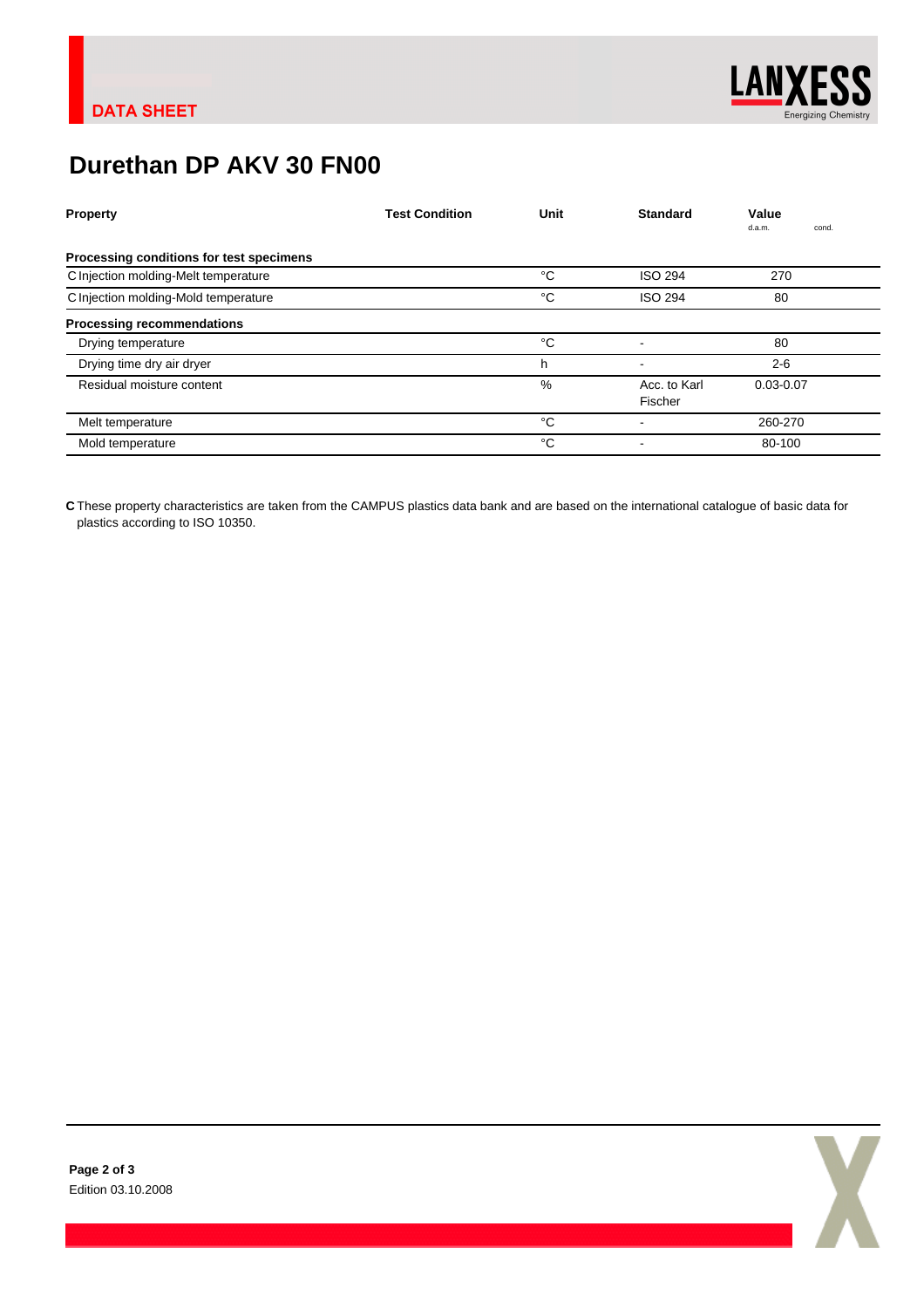

## **Durethan DP AKV 30 FN00**

| <b>Property</b>                          | <b>Test Condition</b> | Unit | <b>Standard</b>          | Value<br>d.a.m.<br>cond. |
|------------------------------------------|-----------------------|------|--------------------------|--------------------------|
| Processing conditions for test specimens |                       |      |                          |                          |
| C Injection molding-Melt temperature     |                       | °C   | <b>ISO 294</b>           | 270                      |
| C Injection molding-Mold temperature     |                       | °C   | <b>ISO 294</b>           | 80                       |
| <b>Processing recommendations</b>        |                       |      |                          |                          |
| Drying temperature                       |                       | °C   |                          | 80                       |
| Drying time dry air dryer                |                       | h    | $\overline{\phantom{0}}$ | $2 - 6$                  |
| Residual moisture content                |                       | $\%$ | Acc. to Karl<br>Fischer  | $0.03 - 0.07$            |
| Melt temperature                         |                       | °C   |                          | 260-270                  |
| Mold temperature                         |                       | °C   |                          | 80-100                   |

**C** These property characteristics are taken from the CAMPUS plastics data bank and are based on the international catalogue of basic data for plastics according to ISO 10350.